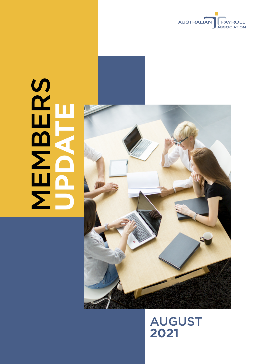

# **MBERS UPDATE**



# AUGUST **2021**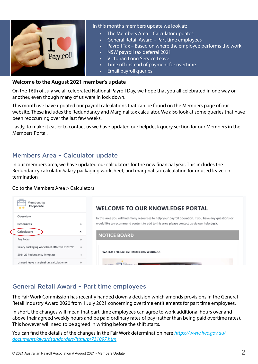

#### In this month's members update we look at:

- The Members Area Calculator updates
- General Retail Award Part time employees
- Payroll Tax Based on where the employee performs the work
- NSW payroll tax deferral 2021
- Victorian Long Service Leave
- Time off instead of payment for overtime
- **Email payroll queries**

#### **Welcome to the August 2021 member's update**

On the 16th of July we all celebrated National Payroll Day, we hope that you all celebrated in one way or another, even though many of us were in lock down.

This month we have updated our payroll calculations that can be found on the Members page of our website. These includes the Redundancy and Marginal tax calculator. We also look at some queries that have been reoccurring over the last few weeks.

Lastly, to make it easier to contact us we have updated our helpdesk query section for our Members in the Members Portal.

## Members Area – Calculator update

In our members area, we have updated our calculators for the new financial year. This includes the Redundancy calculator,Salary packaging worksheet, and marginal tax calculation for unused leave on termination

#### Go to the Members Area > Calculators

| Membership<br>Corporate                       |                           | <b>WELCOME TO OUR KNOWLEDGE PORTAL</b>                                                                 |
|-----------------------------------------------|---------------------------|--------------------------------------------------------------------------------------------------------|
| Overview                                      |                           | In this area you will find many resources to help your payroll operation. If you have any questions or |
| Resources                                     | ۰                         | would like to recommend content to add to this area please contact us via our help desk.               |
| Calculators                                   | $\boldsymbol{\mathsf{x}}$ | <b>NOTICE BOARD</b>                                                                                    |
| Pay Rates                                     | ÷                         |                                                                                                        |
| Salary Packaging worksheet effective 01/07/21 | $\rightarrow$             | WATCH THE LATEST MEMBERS WEBINAR                                                                       |
| 2021-22 Redundancy Template                   |                           |                                                                                                        |
| Unused leave marginal tax calculation on      | ÷                         |                                                                                                        |

# General Retail Award – Part time employees

The Fair Work Commission has recently handed down a decision which amends provisions in the General Retail Industry Award 2020 from 1 July 2021 concerning overtime entitlements for part time employees.

In short, the changes will mean that part-time employees can agree to work additional hours over and above their agreed weekly hours and be paid ordinary rates of pay (rather than being paid overtime rates). This however will need to be agreed in writing before the shift starts.

You can find the details of the changes in the Fair Work determination here *[https://www.fwc.gov.au/](https://www.fwc.gov.au/documents/awardsandorders/html/pr731097.htm) [documents/awardsandorders/html/pr731097.htm](https://www.fwc.gov.au/documents/awardsandorders/html/pr731097.htm)*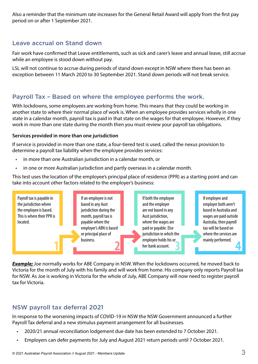Also a reminder that the minimum rate increases for the General Retail Award will apply from the first pay period on or after 1 September 2021.

# Leave accrual on Stand down

Fair work have confirmed that Leave entitlements, such as sick and carer's leave and annual leave, still accrue while an employee is stood down without pay.

LSL will not continue to accrue during periods of stand down except in NSW where there has been an exception between 11 March 2020 to 30 September 2021. Stand down periods will not break service.

# Payroll Tax – Based on where the employee performs the work.

With lockdowns, some employees are working from home. This means that they could be working in another state to where their normal place of work is. When an employee provides services wholly in one state in a calendar month, payroll tax is paid in that state on the wages for that employee. However, if they work in more than one state during the month then you must review your payroll tax obligations.

#### **Services provided in more than one jurisdiction**

If service is provided in more than one state, a four-tiered test is used, called the nexus provision to determine a payroll tax liability when the employee provides services:

- • in more than one Australian jurisdiction in a calendar month, or
- in one or more Australian jurisdiction and partly overseas in a calendar month.

This test uses the location of the employee's principal place of residence (PPR) as a starting point and can take into account other factors related to the employer's business:



**Example;** Joe normally works for ABE Company in NSW. When the lockdowns occurred, he moved back to Victoria for the month of July with his family and will work from home. His company only reports Payroll tax for NSW. As Joe is working in Victoria for the whole of July, ABE Company will now need to register payroll tax for Victoria.

# NSW payroll tax deferral 2021

In response to the worsening impacts of COVID-19 in NSW the NSW Government announced a further Payroll Tax deferral and a new stimulus payment arrangement for all businesses.

- 2020/21 annual reconciliation lodgement due date has been extended to 7 October 2021.
- Employers can defer payments for July and August 2021 return periods until 7 October 2021.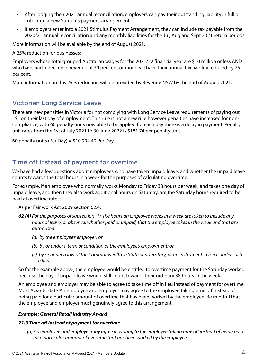- After lodging their 2021 annual reconciliation, employers can pay their outstanding liability in full or enter into a new Stimulus payment arrangement.
- If employers enter into a 2021 Stimulus Payment Arrangement, they can include tax payable from the 2020/21 annual reconciliation and any monthly liabilities for the Jul, Aug and Sept 2021 return periods.

More information will be available by the end of August 2021.

A 25% reduction for businesses:

Employers whose total grouped Australian wages for the 2021/22 financial year are \$10 million or less AND who have had a decline in revenue of 30 per cent or more will have their annual tax liability reduced by 25 per cent.

More information on this 25% reduction will be provided by Revenue NSW by the end of August 2021.

## Victorian Long Service Leave

There are new penalties in Victoria for not complying with Long Service Leave requirements of paying out LSL on their last day of employment. This rule is not a new rule however penalties have increased for noncompliance, with 60 penalty units now able to be applied for each day there is a delay in payment. Penalty unit rates from the 1st of July 2021 to 30 June 2022 is \$181.74 per penalty unit.

60 penalty units (Per Day) =  $$10,904.40$  Per Day

# Time off instead of payment for overtime

We have had a few questions about employees who have taken unpaid leave, and whether the unpaid leave counts towards the total hours in a week for the purposes of calculating overtime.

For example, if an employee who normally works Monday to Friday 38 hours per week, and takes one day of unpaid leave, and then they also work additional hours on Saturday, are the Saturday hours required to be paid at overtime rates?

As per Fair work Act 2009 section 62.4;

- *62 (4) For the purposes of subsection (1), the hours an employee works in a week are taken to include any hours of leave, or absence, whether paid or unpaid, that the employee takes in the week and that are authorised:*
	- *(a) by the employee's employer; or*
	- *(b) by or under a term or condition of the employee's employment; or*
	- *(c) by or under a law of the Commonwealth, a State or a Territory, or an instrument in force under such a law.*

So for the example above, the employee would be entitled to overtime payment for the Saturday worked, because the day of unpaid leave would still count towards their ordinary 38 hours in the week.

An employee and employer may be able to agree to take time off in lieu instead of payment for overtime. Most Awards state 'An employee and employer may agree to the employee taking time off instead of being paid for a particular amount of overtime that has been worked by the employee.' Be mindful that the employee and employer must genuinely agree to this arrangement.

#### *Example: General Retail Industry Award*

#### *21.3 Time off instead of payment for overtime*

*(a) An employee and employer may agree in writing to the employee taking time off instead of being paid for a particular amount of overtime that has been worked by the employee.*